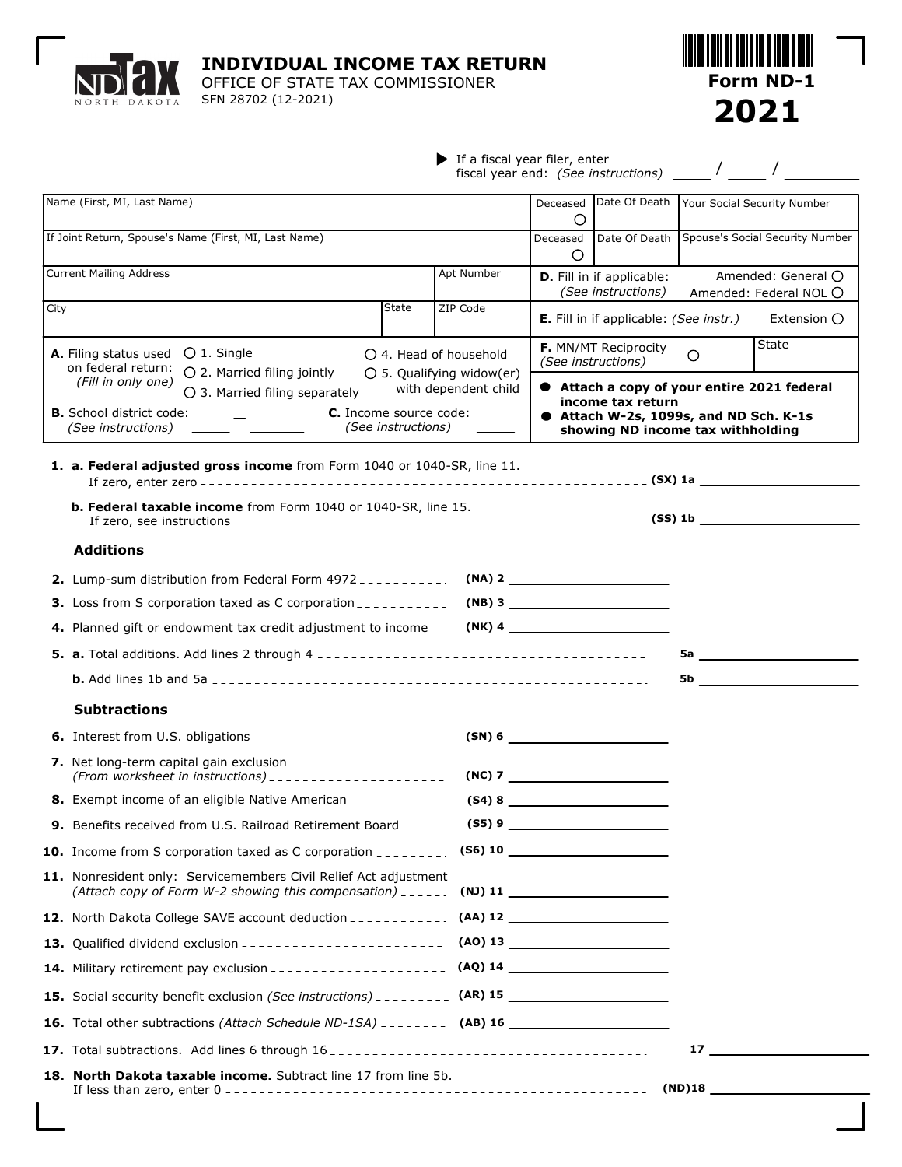NORTH DAKOTA

 $\lceil$ 

**INDIVIDUAL INCOME TAX RETURN**

OFFICE OF STATE TAX COMMISSIONER SFN 28702 (12-2021)



|  | $\blacktriangleright$ If a fiscal year filer, enter<br>fiscal year end: (See instructions) |  |  |
|--|--------------------------------------------------------------------------------------------|--|--|
|--|--------------------------------------------------------------------------------------------|--|--|

|      | Name (First, MI, Last Name)                                                                                                                                                                           |              |                                                                       | Deceased<br>Ο                                                                                                                                   | Date Of Death                                   | Your Social Security Number                  |  |
|------|-------------------------------------------------------------------------------------------------------------------------------------------------------------------------------------------------------|--------------|-----------------------------------------------------------------------|-------------------------------------------------------------------------------------------------------------------------------------------------|-------------------------------------------------|----------------------------------------------|--|
|      | If Joint Return, Spouse's Name (First, MI, Last Name)                                                                                                                                                 |              |                                                                       | Deceased<br>$\circ$                                                                                                                             | Date Of Death                                   | Spouse's Social Security Number              |  |
|      | <b>Current Mailing Address</b>                                                                                                                                                                        |              | Apt Number                                                            |                                                                                                                                                 | D. Fill in if applicable:<br>(See instructions) | Amended: General O<br>Amended: Federal NOL O |  |
| City |                                                                                                                                                                                                       | <b>State</b> | ZIP Code                                                              |                                                                                                                                                 | <b>E.</b> Fill in if applicable: (See instr.)   | Extension O                                  |  |
|      | $O1$ . Single<br>A. Filing status used<br>on federal return:<br>○ 2. Married filing jointly                                                                                                           |              | $\bigcirc$ 4. Head of household<br>$\bigcirc$ 5. Qualifying widow(er) |                                                                                                                                                 | F. MN/MT Reciprocity<br>(See instructions)      | State<br>$\circ$                             |  |
|      | (Fill in only one)<br>with dependent child<br>$\bigcirc$ 3. Married filing separately<br><b>C.</b> Income source code:<br><b>B.</b> School district code:<br>(See instructions)<br>(See instructions) |              |                                                                       | ● Attach a copy of your entire 2021 federal<br>income tax return<br>● Attach W-2s, 1099s, and ND Sch. K-1s<br>showing ND income tax withholding |                                                 |                                              |  |
|      | 1. a. Federal adjusted gross income from Form 1040 or 1040-SR, line 11.                                                                                                                               |              |                                                                       |                                                                                                                                                 |                                                 |                                              |  |
|      | <b>b. Federal taxable income</b> from Form 1040 or 1040-SR, line 15.                                                                                                                                  |              |                                                                       |                                                                                                                                                 |                                                 |                                              |  |
|      | <b>Additions</b>                                                                                                                                                                                      |              |                                                                       |                                                                                                                                                 |                                                 |                                              |  |
|      | 2. Lump-sum distribution from Federal Form 4972 - - - - - - - - - -                                                                                                                                   |              |                                                                       |                                                                                                                                                 |                                                 |                                              |  |
|      | <b>3.</b> Loss from S corporation taxed as C corporation $\frac{1}{2}$                                                                                                                                |              |                                                                       |                                                                                                                                                 | $(NB)$ 3                                        |                                              |  |
|      | 4. Planned gift or endowment tax credit adjustment to income                                                                                                                                          |              |                                                                       |                                                                                                                                                 | $(NK)$ 4                                        |                                              |  |
|      |                                                                                                                                                                                                       |              |                                                                       |                                                                                                                                                 |                                                 | 5a <u>_________________________</u>          |  |
|      |                                                                                                                                                                                                       |              |                                                                       |                                                                                                                                                 |                                                 | 5b                                           |  |
|      | <b>Subtractions</b>                                                                                                                                                                                   |              |                                                                       |                                                                                                                                                 |                                                 |                                              |  |
|      | <b>6.</b> Interest from U.S. obligations __________________________                                                                                                                                   |              |                                                                       |                                                                                                                                                 |                                                 |                                              |  |
|      | 7. Net long-term capital gain exclusion<br>(From worksheet in instructions) ______________________                                                                                                    |              |                                                                       |                                                                                                                                                 |                                                 |                                              |  |
|      | <b>8.</b> Exempt income of an eligible Native American ____________                                                                                                                                   |              |                                                                       |                                                                                                                                                 |                                                 |                                              |  |
|      | <b>9.</b> Benefits received from U.S. Railroad Retirement Board _____.                                                                                                                                |              |                                                                       |                                                                                                                                                 |                                                 |                                              |  |
|      | 10. Income from S corporation taxed as C corporation ________. (S6) 10                                                                                                                                |              |                                                                       |                                                                                                                                                 |                                                 |                                              |  |
|      | 11. Nonresident only: Servicemembers Civil Relief Act adjustment<br>(Attach copy of Form W-2 showing this compensation) $_{---}$ (NJ) 11 $_{---}$                                                     |              |                                                                       |                                                                                                                                                 |                                                 |                                              |  |
|      |                                                                                                                                                                                                       |              |                                                                       |                                                                                                                                                 |                                                 |                                              |  |
|      | 13. Qualified dividend exclusion _______________________. (AO) 13 ______________                                                                                                                      |              |                                                                       |                                                                                                                                                 |                                                 |                                              |  |
|      | 14. Military retirement pay exclusion - - - - - - - - - - - - - - - - - - (AQ) 14 __________________                                                                                                  |              |                                                                       |                                                                                                                                                 |                                                 |                                              |  |
|      | 15. Social security benefit exclusion (See instructions) - - - - - - - - (AR) 15                                                                                                                      |              |                                                                       |                                                                                                                                                 |                                                 |                                              |  |
|      |                                                                                                                                                                                                       |              |                                                                       |                                                                                                                                                 |                                                 |                                              |  |
|      |                                                                                                                                                                                                       |              |                                                                       |                                                                                                                                                 |                                                 | 17                                           |  |
|      | <b>18. North Dakota taxable income.</b> Subtract line 17 from line 5b.                                                                                                                                |              |                                                                       |                                                                                                                                                 |                                                 |                                              |  |
|      |                                                                                                                                                                                                       |              |                                                                       |                                                                                                                                                 |                                                 |                                              |  |